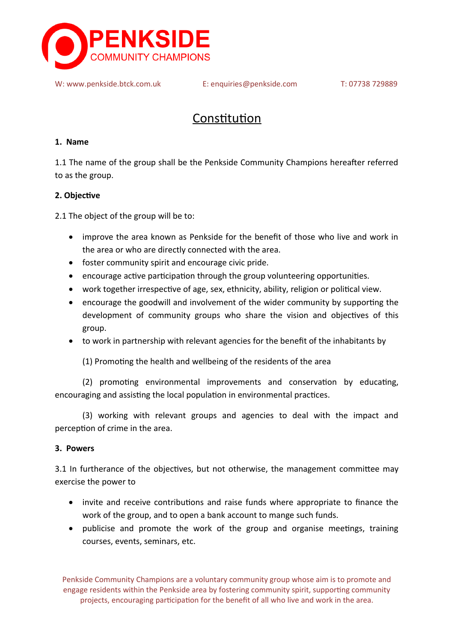

W: [www.penkside.btck.com.uk](http://www.penkside.btck.com.uk/) E: enquiries[@penkside.com](mailto:Penkside@gmail.com) T: 07738 729889

# Constitution

### **1. Name**

1.1 The name of the group shall be the Penkside Community Champions hereafter referred to as the group.

# **2. Objective**

2.1 The object of the group will be to:

- improve the area known as Penkside for the benefit of those who live and work in the area or who are directly connected with the area.
- foster community spirit and encourage civic pride.
- encourage active participation through the group volunteering opportunities.
- work together irrespective of age, sex, ethnicity, ability, religion or political view.
- encourage the goodwill and involvement of the wider community by supporting the development of community groups who share the vision and objectives of this group.
- to work in partnership with relevant agencies for the benefit of the inhabitants by

(1) Promoting the health and wellbeing of the residents of the area

(2) promoting environmental improvements and conservation by educating, encouraging and assisting the local population in environmental practices.

(3) working with relevant groups and agencies to deal with the impact and perception of crime in the area.

# **3. Powers**

3.1 In furtherance of the objectives, but not otherwise, the management committee may exercise the power to

- invite and receive contributions and raise funds where appropriate to finance the work of the group, and to open a bank account to mange such funds.
- publicise and promote the work of the group and organise meetings, training courses, events, seminars, etc.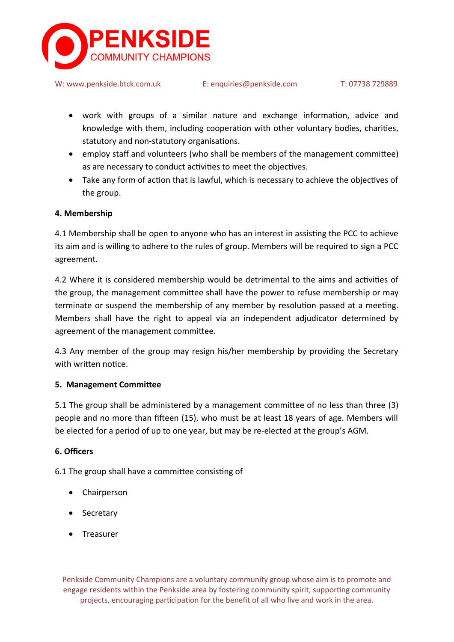

W: [www.penkside.btck.com.uk](http://www.penkside.btck.com.uk/) E: enquiries[@penkside.com](mailto:Penkside@gmail.com) T: 07738 729889

- work with groups of a similar nature and exchange information, advice and knowledge with them, including cooperation with other voluntary bodies, charities, statutory and non-statutory organisations.
- employ staff and volunteers (who shall be members of the management committee) as are necessary to conduct activities to meet the objectives.
- Take any form of action that is lawful, which is necessary to achieve the objectives of the group.

# **4. Membership**

4.1 Membership shall be open to anyone who has an interest in assisting the PCC to achieve its aim and is willing to adhere to the rules of group. Members will be required to sign a PCC agreement.

4.2 Where it is considered membership would be detrimental to the aims and activities of the group, the management committee shall have the power to refuse membership or may terminate or suspend the membership of any member by resolution passed at a meeting. Members shall have the right to appeal via an independent adjudicator determined by agreement of the management committee.

4.3 Any member of the group may resign his/her membership by providing the Secretary with written notice

#### **5. Management Committee**

5.1 The group shall be administered by a management committee of no less than three (3) people and no more than fifteen (15), who must be at least 18 years of age. Members will be elected for a period of up to one year, but may be re-elected at the group's AGM.

#### **6. Officers**

6.1 The group shall have a committee consisting of

- Chairperson
- Secretary
- Treasurer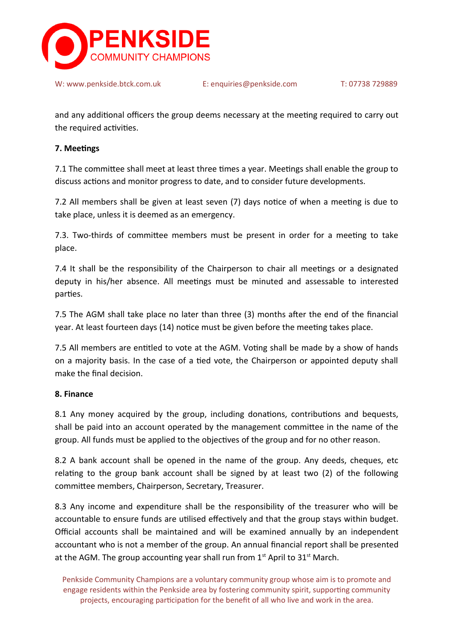

and any additional officers the group deems necessary at the meeting required to carry out the required activities.

#### **7. Meetings**

7.1 The committee shall meet at least three times a year. Meetings shall enable the group to discuss actions and monitor progress to date, and to consider future developments.

7.2 All members shall be given at least seven (7) days notice of when a meeting is due to take place, unless it is deemed as an emergency.

7.3. Two-thirds of committee members must be present in order for a meeting to take place.

7.4 It shall be the responsibility of the Chairperson to chair all meetings or a designated deputy in his/her absence. All meetings must be minuted and assessable to interested parties.

7.5 The AGM shall take place no later than three (3) months after the end of the financial year. At least fourteen days (14) notice must be given before the meeting takes place.

7.5 All members are entitled to vote at the AGM. Voting shall be made by a show of hands on a majority basis. In the case of a tied vote, the Chairperson or appointed deputy shall make the final decision.

#### **8. Finance**

8.1 Any money acquired by the group, including donations, contributions and bequests, shall be paid into an account operated by the management committee in the name of the group. All funds must be applied to the objectives of the group and for no other reason.

8.2 A bank account shall be opened in the name of the group. Any deeds, cheques, etc relating to the group bank account shall be signed by at least two (2) of the following committee members, Chairperson, Secretary, Treasurer.

8.3 Any income and expenditure shall be the responsibility of the treasurer who will be accountable to ensure funds are utilised effectively and that the group stays within budget. Official accounts shall be maintained and will be examined annually by an independent accountant who is not a member of the group. An annual financial report shall be presented at the AGM. The group accounting year shall run from  $1<sup>st</sup>$  April to  $31<sup>st</sup>$  March.